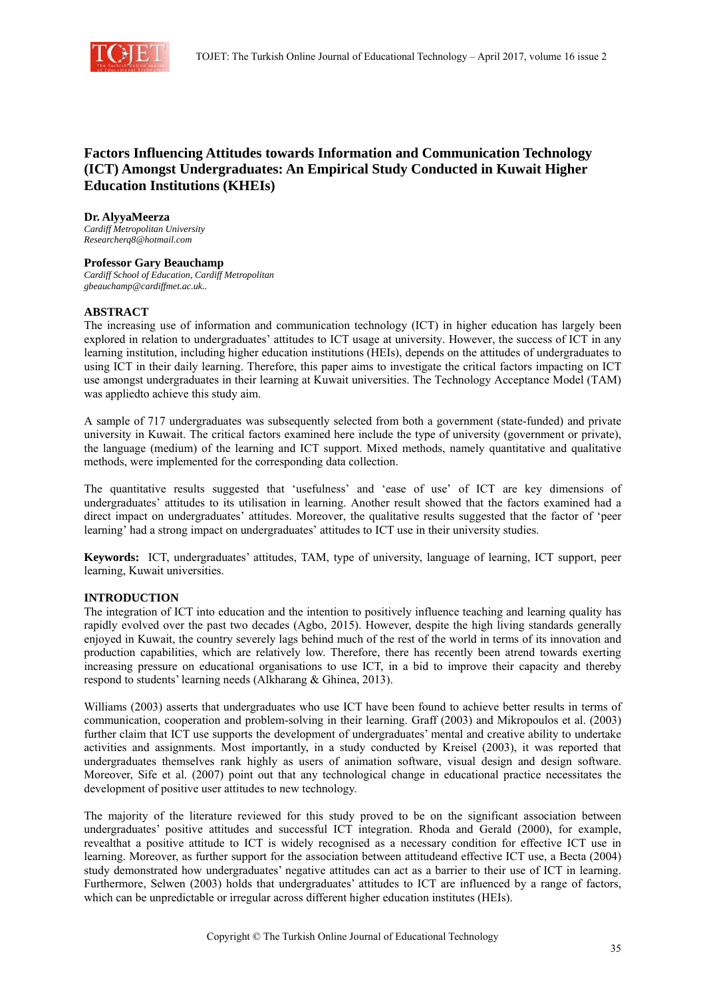

# **Factors Influencing Attitudes towards Information and Communication Technology (ICT) Amongst Undergraduates: An Empirical Study Conducted in Kuwait Higher Education Institutions (KHEIs)**

**Dr. AlyyaMeerza**  *Cardiff Metropolitan University* 

*Researcherq8@hotmail.com* 

### **Professor Gary Beauchamp**

*Cardiff School of Education, Cardiff Metropolitan gbeauchamp@cardiffmet.ac.uk..* 

### **ABSTRACT**

The increasing use of information and communication technology (ICT) in higher education has largely been explored in relation to undergraduates' attitudes to ICT usage at university. However, the success of ICT in any learning institution, including higher education institutions (HEIs), depends on the attitudes of undergraduates to using ICT in their daily learning. Therefore, this paper aims to investigate the critical factors impacting on ICT use amongst undergraduates in their learning at Kuwait universities. The Technology Acceptance Model (TAM) was appliedto achieve this study aim.

A sample of 717 undergraduates was subsequently selected from both a government (state-funded) and private university in Kuwait. The critical factors examined here include the type of university (government or private), the language (medium) of the learning and ICT support. Mixed methods, namely quantitative and qualitative methods, were implemented for the corresponding data collection.

The quantitative results suggested that 'usefulness' and 'ease of use' of ICT are key dimensions of undergraduates' attitudes to its utilisation in learning. Another result showed that the factors examined had a direct impact on undergraduates' attitudes. Moreover, the qualitative results suggested that the factor of 'peer learning' had a strong impact on undergraduates' attitudes to ICT use in their university studies.

**Keywords:** ICT, undergraduates' attitudes, TAM, type of university, language of learning, ICT support, peer learning, Kuwait universities.

## **INTRODUCTION**

The integration of ICT into education and the intention to positively influence teaching and learning quality has rapidly evolved over the past two decades (Agbo, 2015). However, despite the high living standards generally enjoyed in Kuwait, the country severely lags behind much of the rest of the world in terms of its innovation and production capabilities, which are relatively low. Therefore, there has recently been atrend towards exerting increasing pressure on educational organisations to use ICT, in a bid to improve their capacity and thereby respond to students' learning needs (Alkharang & Ghinea, 2013).

Williams (2003) asserts that undergraduates who use ICT have been found to achieve better results in terms of communication, cooperation and problem-solving in their learning. Graff (2003) and Mikropoulos et al. (2003) further claim that ICT use supports the development of undergraduates' mental and creative ability to undertake activities and assignments. Most importantly, in a study conducted by Kreisel (2003), it was reported that undergraduates themselves rank highly as users of animation software, visual design and design software. Moreover, Sife et al. (2007) point out that any technological change in educational practice necessitates the development of positive user attitudes to new technology.

The majority of the literature reviewed for this study proved to be on the significant association between undergraduates' positive attitudes and successful ICT integration. Rhoda and Gerald (2000), for example, revealthat a positive attitude to ICT is widely recognised as a necessary condition for effective ICT use in learning. Moreover, as further support for the association between attitudeand effective ICT use, a Becta (2004) study demonstrated how undergraduates' negative attitudes can act as a barrier to their use of ICT in learning. Furthermore, Selwen (2003) holds that undergraduates' attitudes to ICT are influenced by a range of factors, which can be unpredictable or irregular across different higher education institutes (HEIs).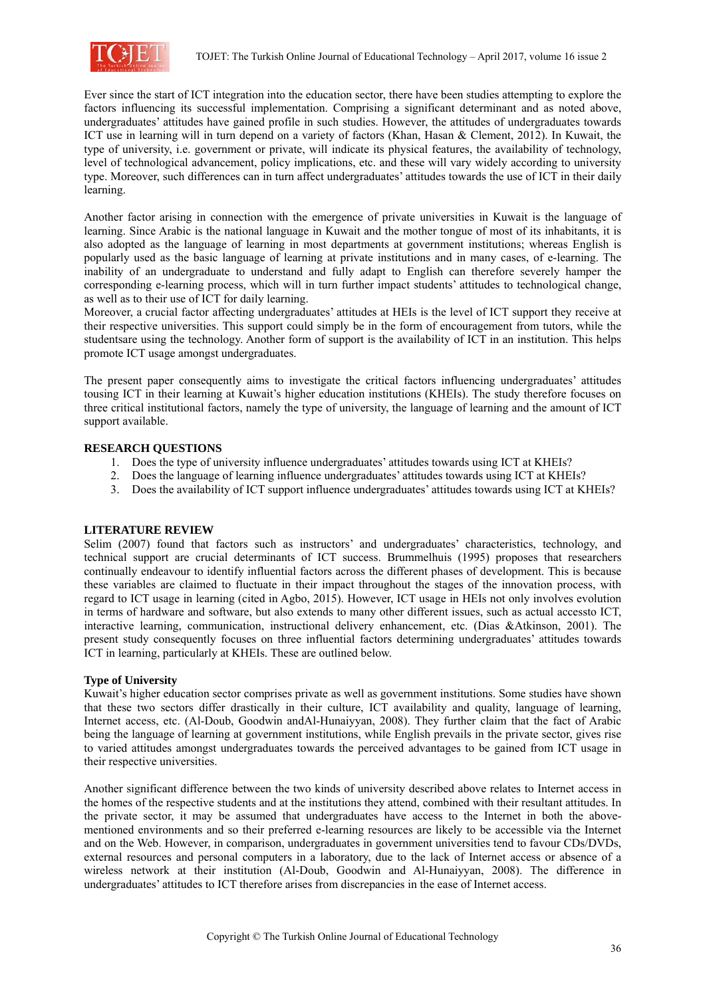

Ever since the start of ICT integration into the education sector, there have been studies attempting to explore the factors influencing its successful implementation. Comprising a significant determinant and as noted above, undergraduates' attitudes have gained profile in such studies. However, the attitudes of undergraduates towards ICT use in learning will in turn depend on a variety of factors (Khan, Hasan & Clement, 2012). In Kuwait, the type of university, i.e. government or private, will indicate its physical features, the availability of technology, level of technological advancement, policy implications, etc. and these will vary widely according to university type. Moreover, such differences can in turn affect undergraduates' attitudes towards the use of ICT in their daily learning.

Another factor arising in connection with the emergence of private universities in Kuwait is the language of learning. Since Arabic is the national language in Kuwait and the mother tongue of most of its inhabitants, it is also adopted as the language of learning in most departments at government institutions; whereas English is popularly used as the basic language of learning at private institutions and in many cases, of e-learning. The inability of an undergraduate to understand and fully adapt to English can therefore severely hamper the corresponding e-learning process, which will in turn further impact students' attitudes to technological change, as well as to their use of ICT for daily learning.

Moreover, a crucial factor affecting undergraduates' attitudes at HEIs is the level of ICT support they receive at their respective universities. This support could simply be in the form of encouragement from tutors, while the studentsare using the technology. Another form of support is the availability of ICT in an institution. This helps promote ICT usage amongst undergraduates.

The present paper consequently aims to investigate the critical factors influencing undergraduates' attitudes tousing ICT in their learning at Kuwait's higher education institutions (KHEIs). The study therefore focuses on three critical institutional factors, namely the type of university, the language of learning and the amount of ICT support available.

### **RESEARCH QUESTIONS**

- 1. Does the type of university influence undergraduates' attitudes towards using ICT at KHEIs?
- 2. Does the language of learning influence undergraduates' attitudes towards using ICT at KHEIs?
- 3. Does the availability of ICT support influence undergraduates' attitudes towards using ICT at KHEIs?

### **LITERATURE REVIEW**

Selim (2007) found that factors such as instructors' and undergraduates' characteristics, technology, and technical support are crucial determinants of ICT success. Brummelhuis (1995) proposes that researchers continually endeavour to identify influential factors across the different phases of development. This is because these variables are claimed to fluctuate in their impact throughout the stages of the innovation process, with regard to ICT usage in learning (cited in Agbo, 2015). However, ICT usage in HEIs not only involves evolution in terms of hardware and software, but also extends to many other different issues, such as actual accessto ICT, interactive learning, communication, instructional delivery enhancement, etc. (Dias &Atkinson, 2001). The present study consequently focuses on three influential factors determining undergraduates' attitudes towards ICT in learning, particularly at KHEIs. These are outlined below.

### **Type of University**

Kuwait's higher education sector comprises private as well as government institutions. Some studies have shown that these two sectors differ drastically in their culture, ICT availability and quality, language of learning, Internet access, etc. (Al-Doub, Goodwin andAl-Hunaiyyan, 2008). They further claim that the fact of Arabic being the language of learning at government institutions, while English prevails in the private sector, gives rise to varied attitudes amongst undergraduates towards the perceived advantages to be gained from ICT usage in their respective universities.

Another significant difference between the two kinds of university described above relates to Internet access in the homes of the respective students and at the institutions they attend, combined with their resultant attitudes. In the private sector, it may be assumed that undergraduates have access to the Internet in both the abovementioned environments and so their preferred e-learning resources are likely to be accessible via the Internet and on the Web. However, in comparison, undergraduates in government universities tend to favour CDs/DVDs, external resources and personal computers in a laboratory, due to the lack of Internet access or absence of a wireless network at their institution (Al-Doub, Goodwin and Al-Hunaiyyan, 2008). The difference in undergraduates' attitudes to ICT therefore arises from discrepancies in the ease of Internet access.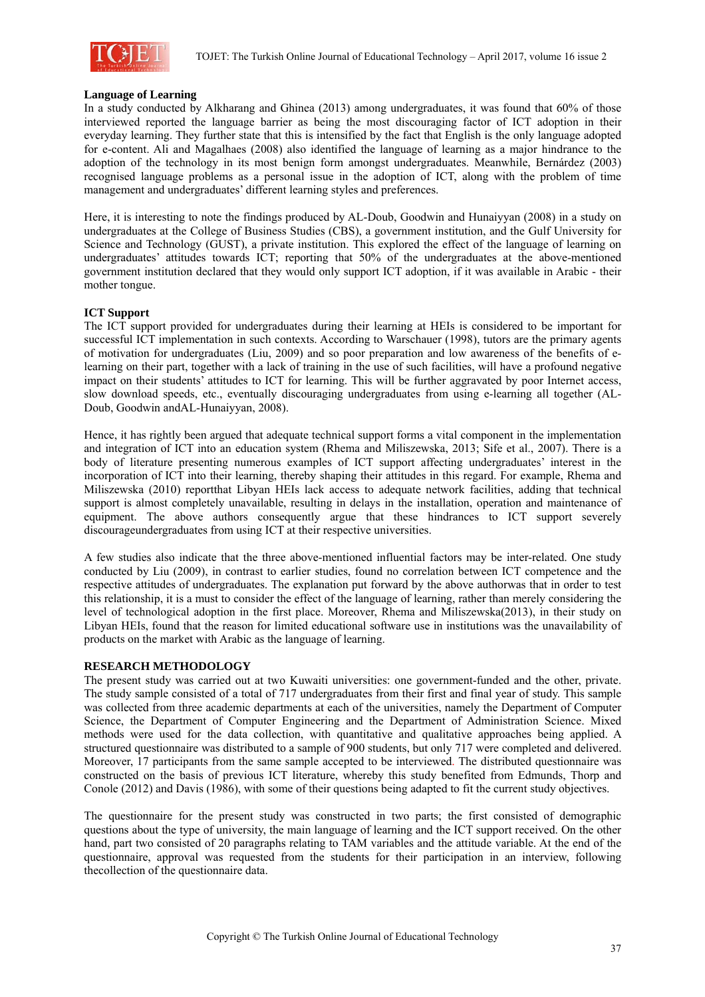

#### **Language of Learning**

In a study conducted by Alkharang and Ghinea (2013) among undergraduates, it was found that 60% of those interviewed reported the language barrier as being the most discouraging factor of ICT adoption in their everyday learning. They further state that this is intensified by the fact that English is the only language adopted for e-content. Ali and Magalhaes (2008) also identified the language of learning as a major hindrance to the adoption of the technology in its most benign form amongst undergraduates. Meanwhile, Bernárdez (2003) recognised language problems as a personal issue in the adoption of ICT, along with the problem of time management and undergraduates' different learning styles and preferences.

Here, it is interesting to note the findings produced by AL-Doub, Goodwin and Hunaiyyan (2008) in a study on undergraduates at the College of Business Studies (CBS), a government institution, and the Gulf University for Science and Technology (GUST), a private institution. This explored the effect of the language of learning on undergraduates' attitudes towards ICT; reporting that 50% of the undergraduates at the above-mentioned government institution declared that they would only support ICT adoption, if it was available in Arabic - their mother tongue.

#### **ICT Support**

The ICT support provided for undergraduates during their learning at HEIs is considered to be important for successful ICT implementation in such contexts. According to Warschauer (1998), tutors are the primary agents of motivation for undergraduates (Liu, 2009) and so poor preparation and low awareness of the benefits of elearning on their part, together with a lack of training in the use of such facilities, will have a profound negative impact on their students' attitudes to ICT for learning. This will be further aggravated by poor Internet access, slow download speeds, etc., eventually discouraging undergraduates from using e-learning all together (AL-Doub, Goodwin andAL-Hunaiyyan, 2008).

Hence, it has rightly been argued that adequate technical support forms a vital component in the implementation and integration of ICT into an education system (Rhema and Miliszewska, 2013; Sife et al., 2007). There is a body of literature presenting numerous examples of ICT support affecting undergraduates' interest in the incorporation of ICT into their learning, thereby shaping their attitudes in this regard. For example, Rhema and Miliszewska (2010) reportthat Libyan HEIs lack access to adequate network facilities, adding that technical support is almost completely unavailable, resulting in delays in the installation, operation and maintenance of equipment. The above authors consequently argue that these hindrances to ICT support severely discourageundergraduates from using ICT at their respective universities.

A few studies also indicate that the three above-mentioned influential factors may be inter-related. One study conducted by Liu (2009), in contrast to earlier studies, found no correlation between ICT competence and the respective attitudes of undergraduates. The explanation put forward by the above authorwas that in order to test this relationship, it is a must to consider the effect of the language of learning, rather than merely considering the level of technological adoption in the first place. Moreover, Rhema and Miliszewska(2013), in their study on Libyan HEIs, found that the reason for limited educational software use in institutions was the unavailability of products on the market with Arabic as the language of learning.

### **RESEARCH METHODOLOGY**

The present study was carried out at two Kuwaiti universities: one government-funded and the other, private. The study sample consisted of a total of 717 undergraduates from their first and final year of study. This sample was collected from three academic departments at each of the universities, namely the Department of Computer Science, the Department of Computer Engineering and the Department of Administration Science. Mixed methods were used for the data collection, with quantitative and qualitative approaches being applied. A structured questionnaire was distributed to a sample of 900 students, but only 717 were completed and delivered. Moreover, 17 participants from the same sample accepted to be interviewed. The distributed questionnaire was constructed on the basis of previous ICT literature, whereby this study benefited from Edmunds, Thorp and Conole (2012) and Davis (1986), with some of their questions being adapted to fit the current study objectives.

The questionnaire for the present study was constructed in two parts; the first consisted of demographic questions about the type of university, the main language of learning and the ICT support received. On the other hand, part two consisted of 20 paragraphs relating to TAM variables and the attitude variable. At the end of the questionnaire, approval was requested from the students for their participation in an interview, following thecollection of the questionnaire data.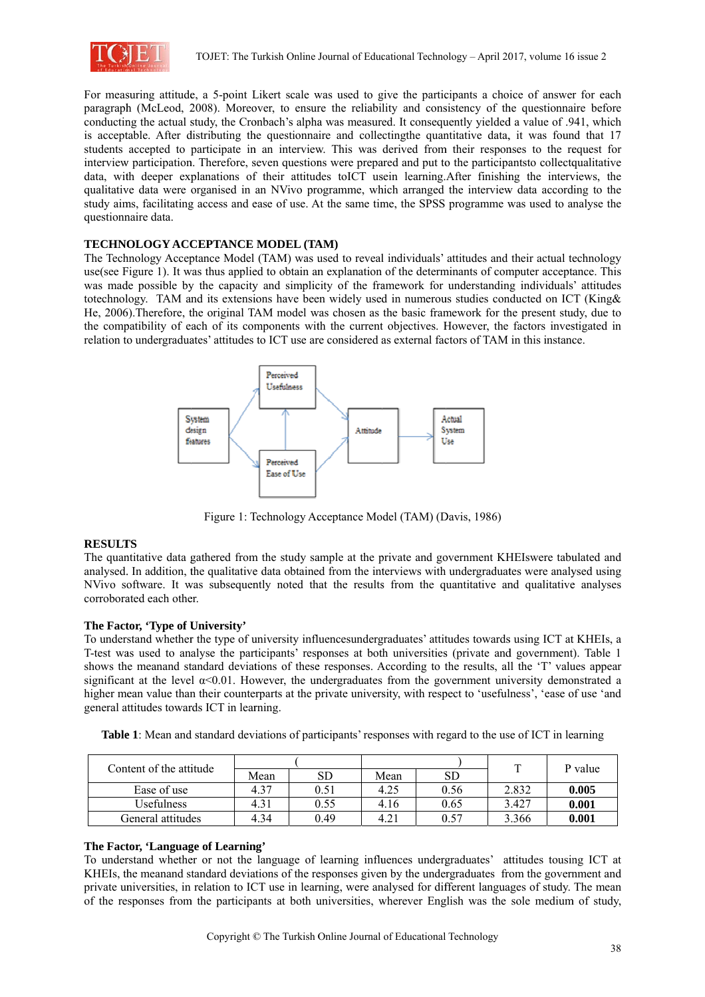

For measuring attitude, a 5-point Likert scale was used to give the participants a choice of answer for each paragraph (McLeod, 2008). Moreover, to ensure the reliability and consistency of the questionnaire before conducting the actual study, the Cronbach's alpha was measured. It consequently yielded a value of .941, which is acceptable. After distributing the questionnaire and collectingthe quantitative data, it was found that 17 students accepted to participate in an interview. This was derived from their responses to the request for interview participation. Therefore, seven questions were prepared and put to the participants to collect qualitative data, with deeper explanations of their attitudes to ICT usein learning. After finishing the interviews, the qualitative data were organised in an NVivo programme, which arranged the interview data according to the study aims, facilitating access and ease of use. At the same time, the SPSS programme was used to analyse the questionnaire data.

### TECHNOLOGY ACCEPTANCE MODEL (TAM)

The Technology Acceptance Model (TAM) was used to reveal individuals' attitudes and their actual technology use(see Figure 1). It was thus applied to obtain an explanation of the determinants of computer acceptance. This was made possible by the capacity and simplicity of the framework for understanding individuals' attitudes totechnology. TAM and its extensions have been widely used in numerous studies conducted on ICT (King & He. 2006). Therefore, the original TAM model was chosen as the basic framework for the present study, due to the compatibility of each of its components with the current objectives. However, the factors investigated in relation to undergraduates' attitudes to ICT use are considered as external factors of TAM in this instance.



Figure 1: Technology Acceptance Model (TAM) (Davis, 1986)

### **RESULTS**

The quantitative data gathered from the study sample at the private and government KHEIswere tabulated and analysed. In addition, the qualitative data obtained from the interviews with undergraduates were analysed using NVivo software. It was subsequently noted that the results from the quantitative and qualitative analyses corroborated each other.

### The Factor. 'Type of University'

To understand whether the type of university influencesundergraduates' attitudes towards using ICT at KHEIs, a T-test was used to analyse the participants' responses at both universities (private and government). Table 1 shows the meanand standard deviations of these responses. According to the results, all the 'T' values appear significant at the level  $\alpha$ <0.01. However, the undergraduates from the government university demonstrated a higher mean value than their counterparts at the private university, with respect to 'usefulness', 'ease of use 'and general attitudes towards ICT in learning.

Table 1: Mean and standard deviations of participants' responses with regard to the use of ICT in learning

| Content of the attitude |      |      |      |      | $\mathbf{r}$ | P value |  |
|-------------------------|------|------|------|------|--------------|---------|--|
|                         | Mean | SD   | Mean | SD   |              |         |  |
| Ease of use             | 4.37 |      | 4.25 | 0.56 | 2.832        | 0.005   |  |
| Usefulness              | 4.31 | 0.55 | 4.16 | 0.65 | 3.427        | 0.001   |  |
| General attitudes       | 4.34 | 0.49 | 4.21 | በ 57 | 3.366        | 0.001   |  |

### The Factor, 'Language of Learning'

To understand whether or not the language of learning influences undergraduates' attitudes tousing ICT at KHEIs, the meanand standard deviations of the responses given by the undergraduates from the government and private universities, in relation to ICT use in learning, were analysed for different languages of study. The mean of the responses from the participants at both universities, wherever English was the sole medium of study,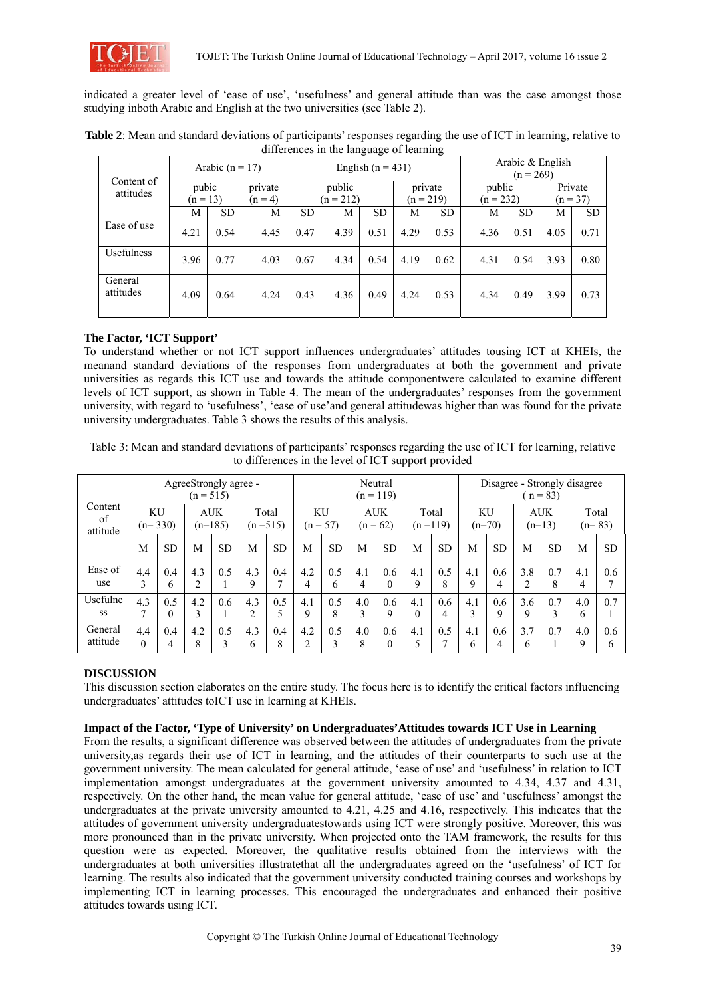

indicated a greater level of 'ease of use', 'usefulness' and general attitude than was the case amongst those studying inboth Arabic and English at the two universities (see Table 2).

| Content of<br>attitudes |                     | Arabic ( $n = 17$ ) |                      |                       |      | English $(n = 431)$ |                        | Arabic & English<br>$(n = 269)$ |                       |           |                       |           |
|-------------------------|---------------------|---------------------|----------------------|-----------------------|------|---------------------|------------------------|---------------------------------|-----------------------|-----------|-----------------------|-----------|
|                         | pubic<br>$(n = 13)$ |                     | private<br>$(n = 4)$ | public<br>$(n = 212)$ |      |                     | private<br>$(n = 219)$ |                                 | public<br>$(n = 232)$ |           | Private<br>$(n = 37)$ |           |
|                         | М                   | SD.                 | M                    | <b>SD</b>             | M    | <b>SD</b>           | M                      | <b>SD</b>                       | М                     | <b>SD</b> | М                     | <b>SD</b> |
| Ease of use             | 4.21                | 0.54                | 4.45                 | 0.47                  | 4.39 | 0.51                | 4.29                   | 0.53                            | 4.36                  | 0.51      | 4.05                  | 0.71      |
| <b>Usefulness</b>       | 3.96                | 0.77                | 4.03                 | 0.67                  | 4.34 | 0.54                | 4.19                   | 0.62                            | 4.31                  | 0.54      | 3.93                  | 0.80      |
| General<br>attitudes    | 4.09                | 0.64                | 4.24                 | 0.43                  | 4.36 | 0.49                | 4.24                   | 0.53                            | 4.34                  | 0.49      | 3.99                  | 0.73      |

**Table 2**: Mean and standard deviations of participants' responses regarding the use of ICT in learning, relative to differences in the language of learning

## **The Factor, 'ICT Support'**

To understand whether or not ICT support influences undergraduates' attitudes tousing ICT at KHEIs, the meanand standard deviations of the responses from undergraduates at both the government and private universities as regards this ICT use and towards the attitude componentwere calculated to examine different levels of ICT support, as shown in Table 4. The mean of the undergraduates' responses from the government university, with regard to 'usefulness', 'ease of use'and general attitudewas higher than was found for the private university undergraduates. Table 3 shows the results of this analysis.

Table 3: Mean and standard deviations of participants' responses regarding the use of ICT for learning, relative to differences in the level of ICT support provided

| Content<br>of<br>attitude | AgreeStrongly agree -<br>$(n = 515)$ |                 |                         |           |                     |           | Neutral<br>$(n = 119)$  |                      |                          |                 |                      |           | Disagree - Strongly disagree<br>$n = 83$ |           |                        |           |                    |           |
|---------------------------|--------------------------------------|-----------------|-------------------------|-----------|---------------------|-----------|-------------------------|----------------------|--------------------------|-----------------|----------------------|-----------|------------------------------------------|-----------|------------------------|-----------|--------------------|-----------|
|                           | <b>KU</b><br>$(n=330)$               |                 | <b>AUK</b><br>$(n=185)$ |           | Total<br>$(n=515)$  |           | <b>KU</b><br>$(n = 57)$ |                      | <b>AUK</b><br>$(n = 62)$ |                 | Total<br>$(n = 119)$ |           | <b>KU</b><br>$(n=70)$                    |           | <b>AUK</b><br>$(n=13)$ |           | Total<br>$(n=83)$  |           |
|                           | M                                    | <b>SD</b>       | M                       | <b>SD</b> | M                   | <b>SD</b> | M                       | <b>SD</b>            | M                        | <b>SD</b>       | M                    | <b>SD</b> | M                                        | <b>SD</b> | M                      | <b>SD</b> | M                  | <b>SD</b> |
| Ease of<br>use            | 4.4<br>3                             | 0.4<br>6        | 4.3<br>$\overline{2}$   | 0.5       | 4.3<br>9            | 0.4       | 4.2<br>4                | 0.5<br>6             | 4.1<br>4                 | 0.6<br>$\theta$ | 4.1<br>9             | 0.5<br>8  | 4.1<br>9                                 | 0.6<br>4  | 3.8                    | 0.7<br>8  | 4.1<br>4           | 0.6<br>7  |
| Usefulne<br><b>SS</b>     | 4.3<br>−                             | 0.5<br>$\theta$ | 4.2<br>3                | 0.6       | 4.3<br>∍            | 0.5<br>5  | 4.1<br>9                | 0.5<br>8             | 4.0<br>3                 | 0.6<br>9        | 4.1<br>$\theta$      | 0.6<br>4  | 4.1<br>3                                 | 0.6<br>9  | 3.6<br>9               | 0.7<br>3  | 4.0<br>6           | 0.7       |
| General<br>attitude       | 4.4<br>$\theta$                      | 0.4<br>4        | 4.2<br>8                | 0.5<br>3  | 4.3<br><sub>b</sub> | 0.4<br>8  | 4.2<br>◠                | 0.5<br>$\rightarrow$ | 4.0<br>8                 | 0.6<br>$\theta$ | 4.1<br>5             | 0.5<br>⇁  | 4.1<br>6                                 | 0.6<br>4  | 3.7<br>6               | 0.7       | 4.0<br>$\mathbf Q$ | 0.6<br>6  |

## **DISCUSSION**

This discussion section elaborates on the entire study. The focus here is to identify the critical factors influencing undergraduates' attitudes toICT use in learning at KHEIs.

## **Impact of the Factor, 'Type of University' on Undergraduates'Attitudes towards ICT Use in Learning**

From the results, a significant difference was observed between the attitudes of undergraduates from the private university,as regards their use of ICT in learning, and the attitudes of their counterparts to such use at the government university. The mean calculated for general attitude, 'ease of use' and 'usefulness' in relation to ICT implementation amongst undergraduates at the government university amounted to 4.34, 4.37 and 4.31, respectively. On the other hand, the mean value for general attitude, 'ease of use' and 'usefulness' amongst the undergraduates at the private university amounted to 4.21, 4.25 and 4.16, respectively. This indicates that the attitudes of government university undergraduatestowards using ICT were strongly positive. Moreover, this was more pronounced than in the private university. When projected onto the TAM framework, the results for this question were as expected. Moreover, the qualitative results obtained from the interviews with the undergraduates at both universities illustratethat all the undergraduates agreed on the 'usefulness' of ICT for learning. The results also indicated that the government university conducted training courses and workshops by implementing ICT in learning processes. This encouraged the undergraduates and enhanced their positive attitudes towards using ICT.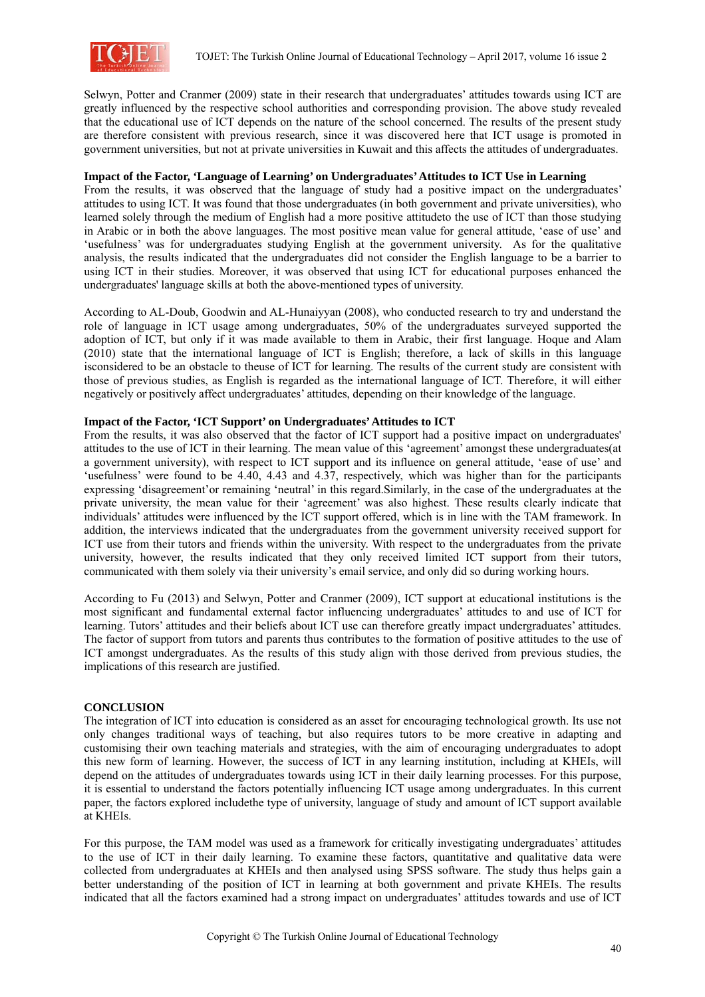

Selwyn, Potter and Cranmer (2009) state in their research that undergraduates' attitudes towards using ICT are greatly influenced by the respective school authorities and corresponding provision. The above study revealed that the educational use of ICT depends on the nature of the school concerned. The results of the present study are therefore consistent with previous research, since it was discovered here that ICT usage is promoted in government universities, but not at private universities in Kuwait and this affects the attitudes of undergraduates.

#### **Impact of the Factor, 'Language of Learning' on Undergraduates' Attitudes to ICT Use in Learning**

From the results, it was observed that the language of study had a positive impact on the undergraduates' attitudes to using ICT. It was found that those undergraduates (in both government and private universities), who learned solely through the medium of English had a more positive attitudeto the use of ICT than those studying in Arabic or in both the above languages. The most positive mean value for general attitude, 'ease of use' and 'usefulness' was for undergraduates studying English at the government university. As for the qualitative analysis, the results indicated that the undergraduates did not consider the English language to be a barrier to using ICT in their studies. Moreover, it was observed that using ICT for educational purposes enhanced the undergraduates' language skills at both the above-mentioned types of university.

According to AL-Doub, Goodwin and AL-Hunaiyyan (2008), who conducted research to try and understand the role of language in ICT usage among undergraduates, 50% of the undergraduates surveyed supported the adoption of ICT, but only if it was made available to them in Arabic, their first language. Hoque and Alam (2010) state that the international language of ICT is English; therefore, a lack of skills in this language isconsidered to be an obstacle to theuse of ICT for learning. The results of the current study are consistent with those of previous studies, as English is regarded as the international language of ICT. Therefore, it will either negatively or positively affect undergraduates' attitudes, depending on their knowledge of the language.

#### **Impact of the Factor, 'ICT Support' on Undergraduates' Attitudes to ICT**

From the results, it was also observed that the factor of ICT support had a positive impact on undergraduates' attitudes to the use of ICT in their learning. The mean value of this 'agreement' amongst these undergraduates(at a government university), with respect to ICT support and its influence on general attitude, 'ease of use' and 'usefulness' were found to be 4.40, 4.43 and 4.37, respectively, which was higher than for the participants expressing 'disagreement'or remaining 'neutral' in this regard.Similarly, in the case of the undergraduates at the private university, the mean value for their 'agreement' was also highest. These results clearly indicate that individuals' attitudes were influenced by the ICT support offered, which is in line with the TAM framework. In addition, the interviews indicated that the undergraduates from the government university received support for ICT use from their tutors and friends within the university. With respect to the undergraduates from the private university, however, the results indicated that they only received limited ICT support from their tutors, communicated with them solely via their university's email service, and only did so during working hours.

According to Fu (2013) and Selwyn, Potter and Cranmer (2009), ICT support at educational institutions is the most significant and fundamental external factor influencing undergraduates' attitudes to and use of ICT for learning. Tutors' attitudes and their beliefs about ICT use can therefore greatly impact undergraduates' attitudes. The factor of support from tutors and parents thus contributes to the formation of positive attitudes to the use of ICT amongst undergraduates. As the results of this study align with those derived from previous studies, the implications of this research are justified.

### **CONCLUSION**

The integration of ICT into education is considered as an asset for encouraging technological growth. Its use not only changes traditional ways of teaching, but also requires tutors to be more creative in adapting and customising their own teaching materials and strategies, with the aim of encouraging undergraduates to adopt this new form of learning. However, the success of ICT in any learning institution, including at KHEIs, will depend on the attitudes of undergraduates towards using ICT in their daily learning processes. For this purpose, it is essential to understand the factors potentially influencing ICT usage among undergraduates. In this current paper, the factors explored includethe type of university, language of study and amount of ICT support available at KHEIs.

For this purpose, the TAM model was used as a framework for critically investigating undergraduates' attitudes to the use of ICT in their daily learning. To examine these factors, quantitative and qualitative data were collected from undergraduates at KHEIs and then analysed using SPSS software. The study thus helps gain a better understanding of the position of ICT in learning at both government and private KHEIs. The results indicated that all the factors examined had a strong impact on undergraduates' attitudes towards and use of ICT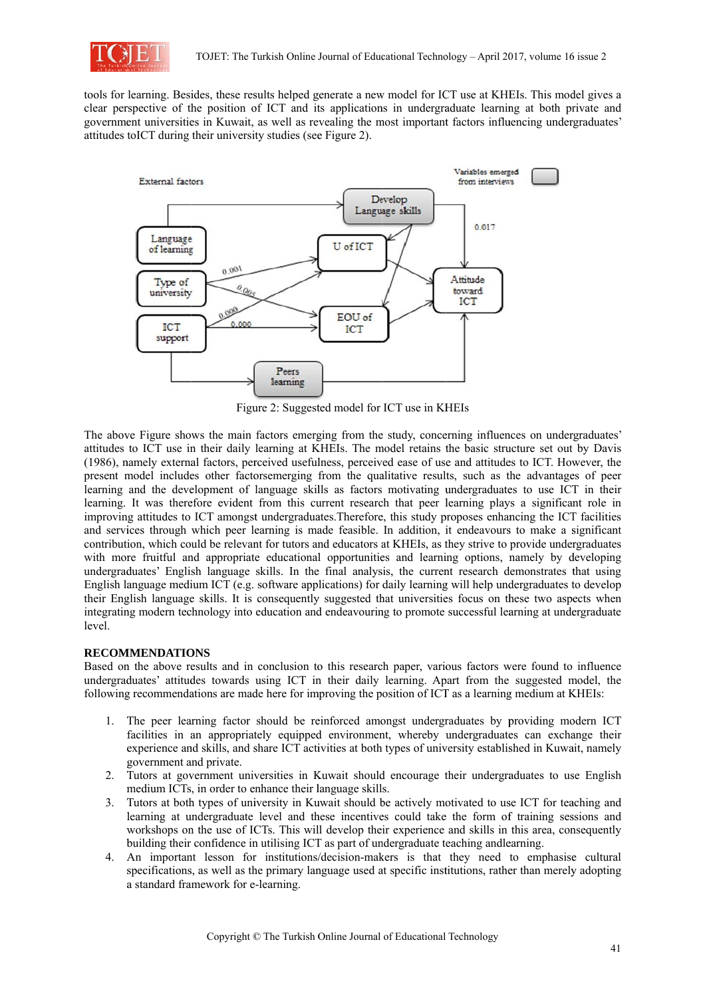

tools for learning. Besides, these results helped generate a new model for ICT use at KHEIs. This model gives a clear perspective of the position of ICT and its applications in undergraduate learning at both private and government universities in Kuwait, as well as revealing the most important factors influencing undergraduates' attitudes to ICT during their university studies (see Figure 2).



Figure 2: Suggested model for ICT use in KHEIs

The above Figure shows the main factors emerging from the study, concerning influences on undergraduates' attitudes to ICT use in their daily learning at KHEIs. The model retains the basic structure set out by Davis (1986), namely external factors, perceived usefulness, perceived ease of use and attitudes to ICT. However, the present model includes other factorsemerging from the qualitative results, such as the advantages of peer learning and the development of language skills as factors motivating undergraduates to use ICT in their learning. It was therefore evident from this current research that peer learning plays a significant role in improving attitudes to ICT amongst undergraduates. Therefore, this study proposes enhancing the ICT facilities and services through which peer learning is made feasible. In addition, it endeavours to make a significant contribution, which could be relevant for tutors and educators at KHEIs, as they strive to provide undergraduates with more fruitful and appropriate educational opportunities and learning options, namely by developing undergraduates' English language skills. In the final analysis, the current research demonstrates that using English language medium ICT (e.g. software applications) for daily learning will help undergraduates to develop their English language skills. It is consequently suggested that universities focus on these two aspects when integrating modern technology into education and endeavouring to promote successful learning at undergraduate level.

### **RECOMMENDATIONS**

Based on the above results and in conclusion to this research paper, various factors were found to influence undergraduates' attitudes towards using ICT in their daily learning. Apart from the suggested model, the following recommendations are made here for improving the position of ICT as a learning medium at KHEIs:

- 1. The peer learning factor should be reinforced amongst undergraduates by providing modern ICT facilities in an appropriately equipped environment, whereby undergraduates can exchange their experience and skills, and share ICT activities at both types of university established in Kuwait, namely government and private.
- 2. Tutors at government universities in Kuwait should encourage their undergraduates to use English medium ICTs, in order to enhance their language skills.
- 3. Tutors at both types of university in Kuwait should be actively motivated to use ICT for teaching and learning at undergraduate level and these incentives could take the form of training sessions and workshops on the use of ICTs. This will develop their experience and skills in this area, consequently building their confidence in utilising ICT as part of undergraduate teaching and learning.
- 4. An important lesson for institutions/decision-makers is that they need to emphasise cultural specifications, as well as the primary language used at specific institutions, rather than merely adopting a standard framework for e-learning.